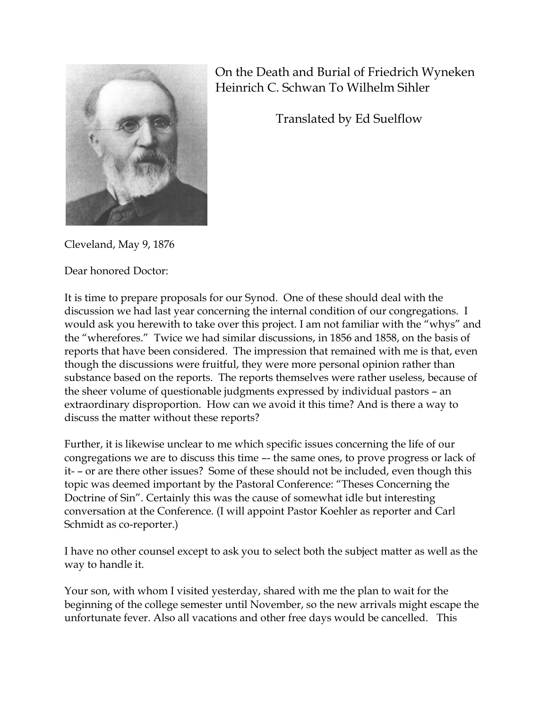

On the Death and Burial of Friedrich Wyneken Heinrich C. Schwan To Wilhelm Sihler

Translated by Ed Suelflow

Cleveland, May 9, 1876

Dear honored Doctor:

It is time to prepare proposals for our Synod. One of these should deal with the discussion we had last year concerning the internal condition of our congregations. I would ask you herewith to take over this project. I am not familiar with the "whys" and the "wherefores." Twice we had similar discussions, in 1856 and 1858, on the basis of reports that have been considered. The impression that remained with me is that, even though the discussions were fruitful, they were more personal opinion rather than substance based on the reports. The reports themselves were rather useless, because of the sheer volume of questionable judgments expressed by individual pastors – an extraordinary disproportion. How can we avoid it this time? And is there a way to discuss the matter without these reports?

Further, it is likewise unclear to me which specific issues concerning the life of our congregations we are to discuss this time –- the same ones, to prove progress or lack of it- – or are there other issues? Some of these should not be included, even though this topic was deemed important by the Pastoral Conference: "Theses Concerning the Doctrine of Sin". Certainly this was the cause of somewhat idle but interesting conversation at the Conference. (I will appoint Pastor Koehler as reporter and Carl Schmidt as co-reporter.)

I have no other counsel except to ask you to select both the subject matter as well as the way to handle it.

Your son, with whom I visited yesterday, shared with me the plan to wait for the beginning of the college semester until November, so the new arrivals might escape the unfortunate fever. Also all vacations and other free days would be cancelled. This